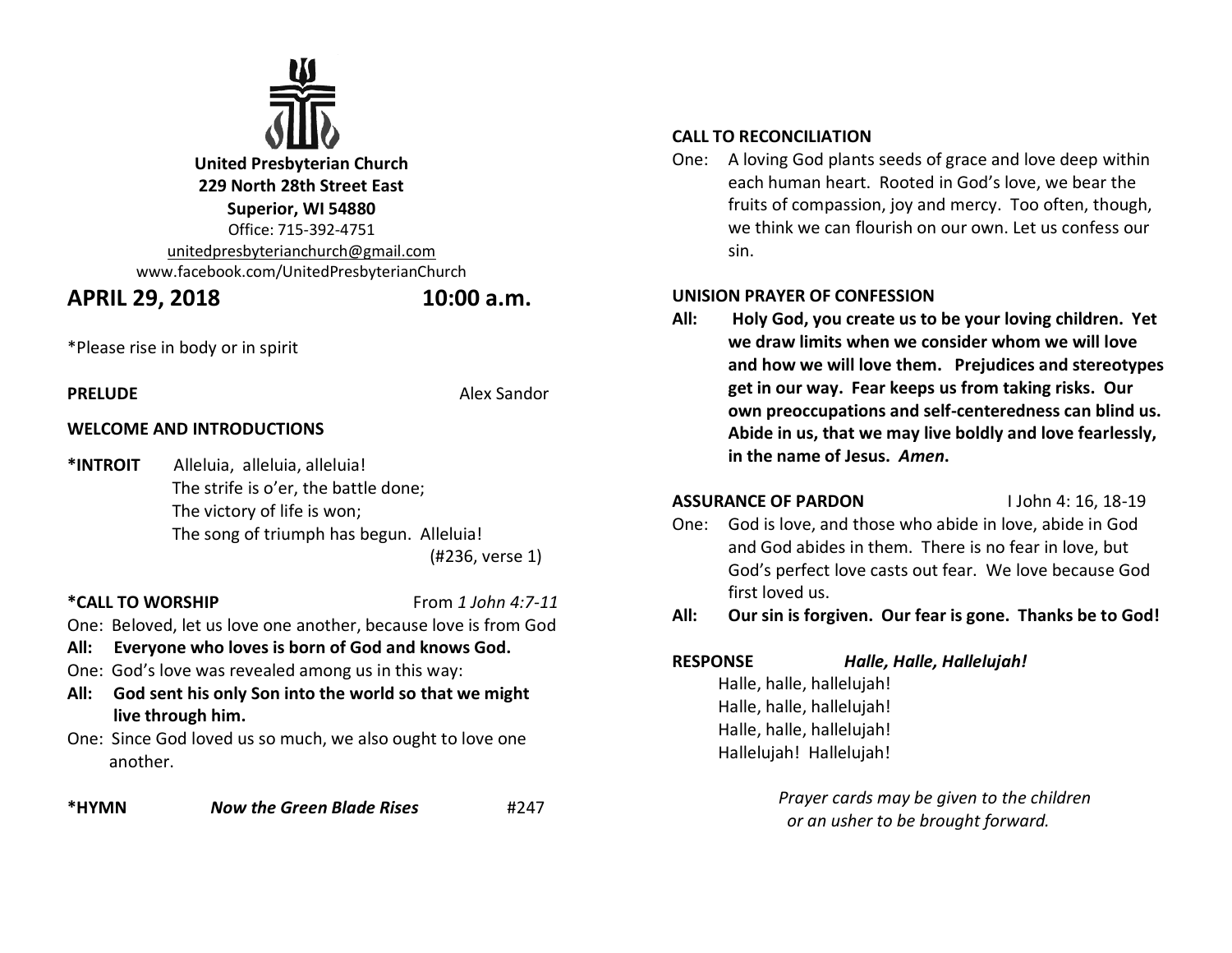

**United Presbyterian Church 229 North 28th Street East Superior, WI 54880** Office: 715-392-4751 [unitedpresbyterianchurch@gmail.com](mailto:unitedpresbyterianchurch@gmail.com) www.facebook.com/UnitedPresbyterianChurch

# **APRIL 29, 2018 10:00 a.m.**

\*Please rise in body or in spirit

**WELCOME AND INTRODUCTIONS**

**PRELUDE** Alex Sandor

**\*INTROIT** Alleluia, alleluia, alleluia! The strife is o'er, the battle done; The victory of life is won; The song of triumph has begun. Alleluia!

(#236, verse 1)

## **\*CALL TO WORSHIP**From *1 John 4:7-11*

One: Beloved, let us love one another, because love is from God

- **All: Everyone who loves is born of God and knows God.**
- One: God's love was revealed among us in this way:
- **All: God sent his only Son into the world so that we might live through him.**
- One: Since God loved us so much, we also ought to love one another.

**\*HYMN** *Now the Green Blade Rises* #247

## **CALL TO RECONCILIATION**

One: A loving God plants seeds of grace and love deep within each human heart. Rooted in God's love, we bear the fruits of compassion, joy and mercy. Too often, though, we think we can flourish on our own. Let us confess our sin.

## **UNISION PRAYER OF CONFESSION**

**All: Holy God, you create us to be your loving children. Yet we draw limits when we consider whom we will love and how we will love them. Prejudices and stereotypes get in our way. Fear keeps us from taking risks. Our own preoccupations and self-centeredness can blind us. Abide in us, that we may live boldly and love fearlessly, in the name of Jesus.** *Amen***.** 

## **ASSURANCE OF PARDON** I John 4: 16, 18-19

One: God is love, and those who abide in love, abide in God and God abides in them. There is no fear in love, but God's perfect love casts out fear. We love because God first loved us.

## **All: Our sin is forgiven. Our fear is gone. Thanks be to God!**

**RESPONSE** *Halle, Halle, Hallelujah!*

 Halle, halle, hallelujah! Halle, halle, hallelujah! Halle, halle, hallelujah! Hallelujah! Hallelujah!

> *Prayer cards may be given to the children or an usher to be brought forward.*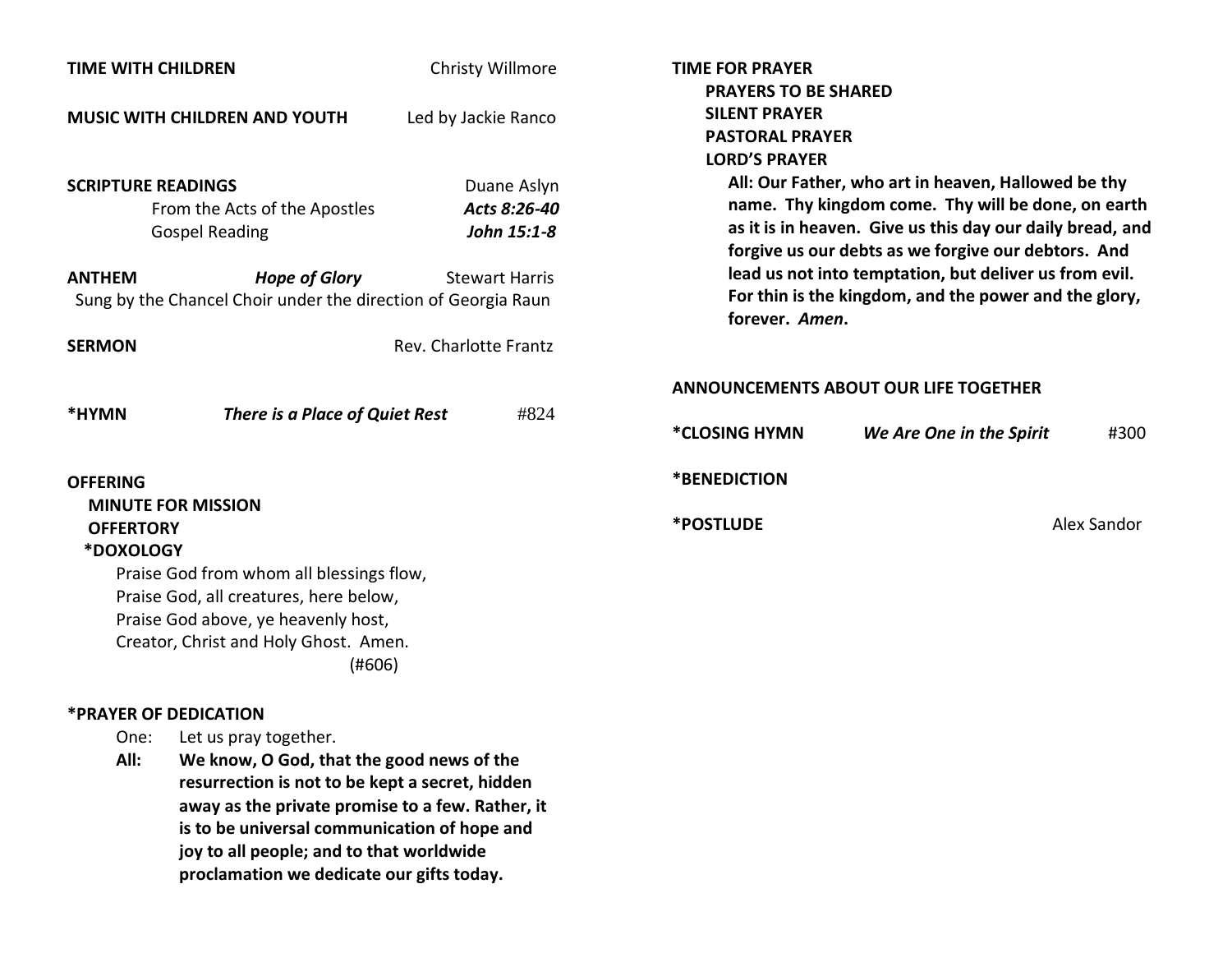| <b>TIME WITH CHILDREN</b>                                                                                                    |                                                                                                                           | Christy Willmore                                                    |                                                                         | <b>TIME FOR PRAYER</b><br><b>PRAYERS TO BE SHARED</b>                                                                                                                                                                                                                                   |                                       |      |
|------------------------------------------------------------------------------------------------------------------------------|---------------------------------------------------------------------------------------------------------------------------|---------------------------------------------------------------------|-------------------------------------------------------------------------|-----------------------------------------------------------------------------------------------------------------------------------------------------------------------------------------------------------------------------------------------------------------------------------------|---------------------------------------|------|
| <b>MUSIC WITH CHILDREN AND YOUTH</b>                                                                                         |                                                                                                                           | Led by Jackie Ranco                                                 |                                                                         | <b>SILENT PRAYER</b><br><b>PASTORAL PRAYER</b><br><b>LORD'S PRAYER</b>                                                                                                                                                                                                                  |                                       |      |
| <b>SCRIPTURE READINGS</b><br>From the Acts of the Apostles<br><b>Gospel Reading</b><br><b>Hope of Glory</b><br><b>ANTHEM</b> |                                                                                                                           | Duane Aslyn<br>Acts 8:26-40<br>John 15:1-8<br><b>Stewart Harris</b> |                                                                         | All: Our Father, who art in heaven, Hallowed be thy<br>name. Thy kingdom come. Thy will be done, on earth<br>as it is in heaven. Give us this day our daily bread, and<br>forgive us our debts as we forgive our debtors. And<br>lead us not into temptation, but deliver us from evil. |                                       |      |
| Sung by the Chancel Choir under the direction of Georgia Raun                                                                |                                                                                                                           |                                                                     | For thin is the kingdom, and the power and the glory,<br>forever. Amen. |                                                                                                                                                                                                                                                                                         |                                       |      |
| <b>SERMON</b>                                                                                                                |                                                                                                                           | Rev. Charlotte Frantz                                               |                                                                         |                                                                                                                                                                                                                                                                                         |                                       |      |
|                                                                                                                              |                                                                                                                           |                                                                     |                                                                         |                                                                                                                                                                                                                                                                                         | ANNOUNCEMENTS ABOUT OUR LIFE TOGETHER |      |
| *HYMN                                                                                                                        | There is a Place of Quiet Rest                                                                                            |                                                                     | #824                                                                    | *CLOSING HYMN                                                                                                                                                                                                                                                                           | We Are One in the Spirit              | #300 |
| <b>OFFERING</b>                                                                                                              |                                                                                                                           |                                                                     |                                                                         | *BENEDICTION                                                                                                                                                                                                                                                                            |                                       |      |
| <b>MINUTE FOR MISSION</b><br><b>OFFERTORY</b><br>*DOXOLOGY                                                                   |                                                                                                                           |                                                                     | *POSTLUDE                                                               |                                                                                                                                                                                                                                                                                         | Alex Sandor                           |      |
|                                                                                                                              | Praise God from whom all blessings flow,<br>Praise God, all creatures, here below,<br>Praise God above, ye heavenly host, |                                                                     |                                                                         |                                                                                                                                                                                                                                                                                         |                                       |      |
|                                                                                                                              | Creator, Christ and Holy Ghost. Amen.<br>(#606)                                                                           |                                                                     |                                                                         |                                                                                                                                                                                                                                                                                         |                                       |      |
| *PRAYER OF DEDICATION                                                                                                        |                                                                                                                           |                                                                     |                                                                         |                                                                                                                                                                                                                                                                                         |                                       |      |
| One:                                                                                                                         | Let us pray together.                                                                                                     |                                                                     |                                                                         |                                                                                                                                                                                                                                                                                         |                                       |      |

**All: We know, O God, that the good news of the resurrection is not to be kept a secret, hidden away as the private promise to a few. Rather, it is to be universal communication of hope and joy to all people; and to that worldwide proclamation we dedicate our gifts today.**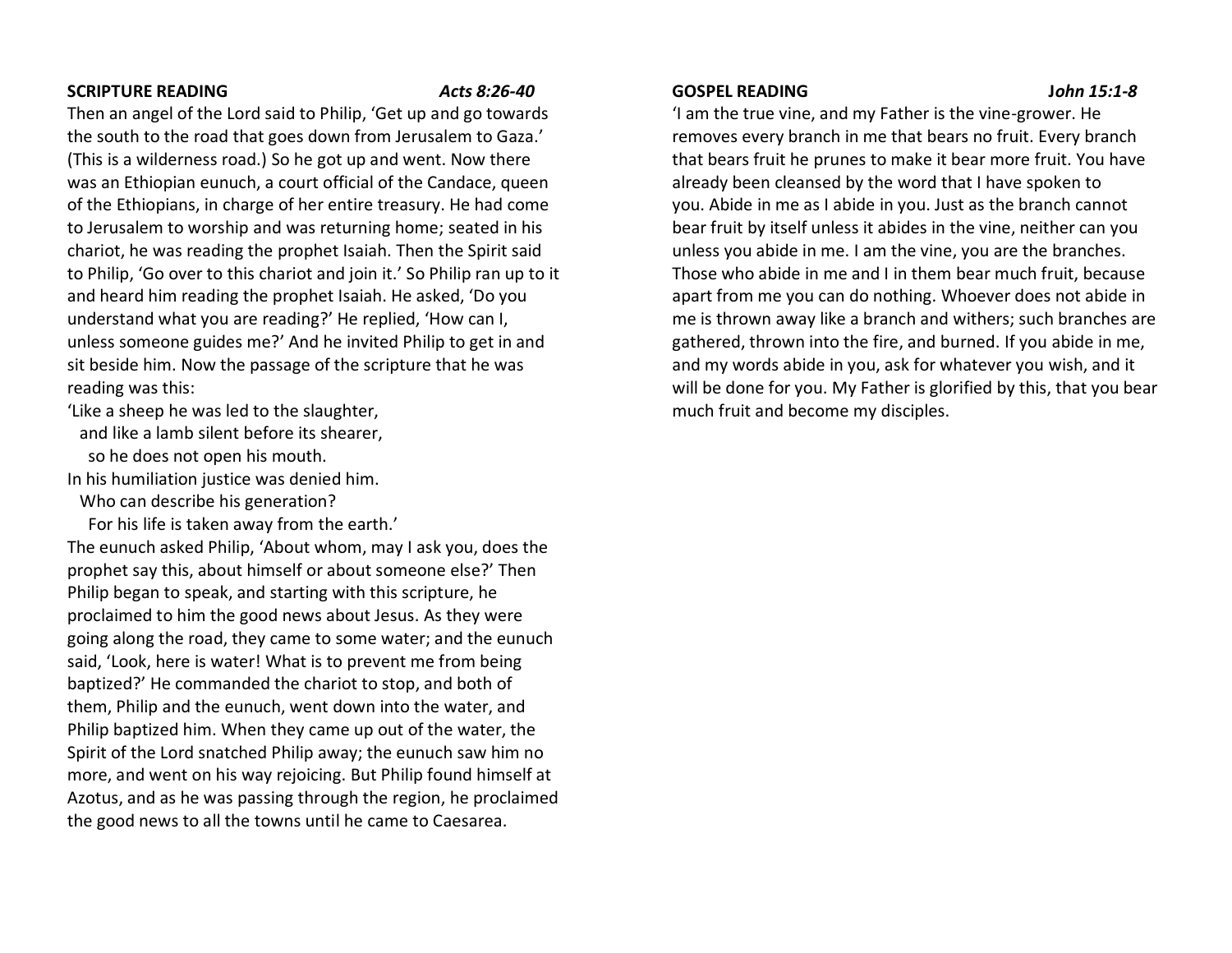#### **SCRIPTURE READING** *Acts 8:26-40*

Then an angel of the Lord said to Philip, 'Get up and go towards the south to the road that goes down from Jerusalem to Gaza.' (This is a wilderness road.) So he got up and went. Now there was an Ethiopian eunuch, a court official of the Candace, queen of the Ethiopians, in charge of her entire treasury. He had come to Jerusalem to worship and was returning home; seated in his chariot, he was reading the prophet Isaiah. Then the Spirit said to Philip, 'Go over to this chariot and join it.' So Philip ran up to it and heard him reading the prophet Isaiah. He asked, 'Do you understand what you are reading?' He replied, 'How can I, unless someone guides me?' And he invited Philip to get in and sit beside him. Now the passage of the scripture that he was reading was this:

'Like a sheep he was led to the slaughter,

and like a lamb silent before its shearer,

so he does not open his mouth.

In his humiliation justice was denied him.

Who can describe his generation?

For his life is taken away from the earth.'

The eunuch asked Philip, 'About whom, may I ask you, does the prophet say this, about himself or about someone else?' Then Philip began to speak, and starting with this scripture, he proclaimed to him the good news about Jesus. As they were going along the road, they came to some water; and the eunuch said, 'Look, here is water! What is to prevent me from being baptized?' He commanded the chariot to stop, and both of them, Philip and the eunuch, went down into the water, and Philip baptized him. When they came up out of the water, the Spirit of the Lord snatched Philip away; the eunuch saw him no more, and went on his way rejoicing. But Philip found himself at Azotus, and as he was passing through the region, he proclaimed the good news to all the towns until he came to Caesarea.

#### **GOSPEL READING J***ohn 15:1-8*

'I am the true vine, and my Father is the vine-grower. He removes every branch in me that bears no fruit. Every branch that bears fruit he prunes to make it bear more fruit. You have already been cleansed by the word that I have spoken to you. Abide in me as I abide in you. Just as the branch cannot bear fruit by itself unless it abides in the vine, neither can you unless you abide in me. I am the vine, you are the branches. Those who abide in me and I in them bear much fruit, because apart from me you can do nothing. Whoever does not abide in me is thrown away like a branch and withers; such branches are gathered, thrown into the fire, and burned. If you abide in me, and my words abide in you, ask for whatever you wish, and it will be done for you. My Father is glorified by this, that you bear much fruit and become my disciples.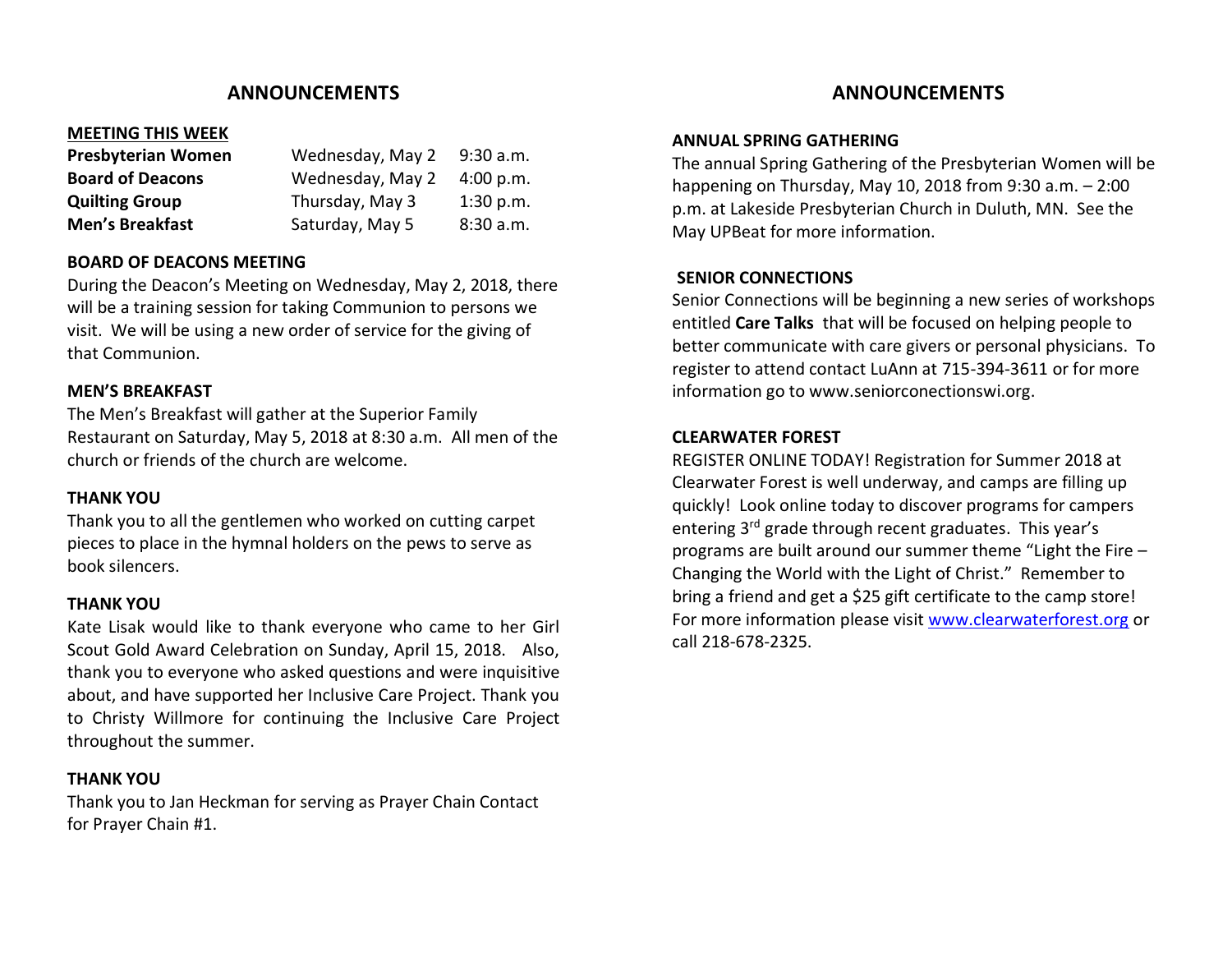## **ANNOUNCEMENTS**

### **MEETING THIS WEEK**

| <b>Presbyterian Women</b> | Wednesday, May 2 | 9:30 a.m. |
|---------------------------|------------------|-----------|
| <b>Board of Deacons</b>   | Wednesday, May 2 | 4:00 p.m. |
| <b>Quilting Group</b>     | Thursday, May 3  | 1:30 p.m. |
| <b>Men's Breakfast</b>    | Saturday, May 5  | 8:30a.m.  |

### **BOARD OF DEACONS MEETING**

During the Deacon's Meeting on Wednesday, May 2, 2018, there will be a training session for taking Communion to persons we visit. We will be using a new order of service for the giving of that Communion.

### **MEN'S BREAKFAST**

The Men's Breakfast will gather at the Superior Family Restaurant on Saturday, May 5, 2018 at 8:30 a.m. All men of the church or friends of the church are welcome.

#### **THANK YOU**

Thank you to all the gentlemen who worked on cutting carpet pieces to place in the hymnal holders on the pews to serve as book silencers.

#### **THANK YOU**

Kate Lisak would like to thank everyone who came to her Girl Scout Gold Award Celebration on Sunday, April 15, 2018. Also, thank you to everyone who asked questions and were inquisitive about, and have supported her Inclusive Care Project. Thank you to Christy Willmore for continuing the Inclusive Care Project throughout the summer.

#### **THANK YOU**

Thank you to Jan Heckman for serving as Prayer Chain Contact for Prayer Chain #1.

## **ANNOUNCEMENTS**

#### **ANNUAL SPRING GATHERING**

The annual Spring Gathering of the Presbyterian Women will be happening on Thursday, May 10, 2018 from 9:30 a.m. – 2:00 p.m. at Lakeside Presbyterian Church in Duluth, MN. See the May UPBeat for more information.

### **SENIOR CONNECTIONS**

Senior Connections will be beginning a new series of workshops entitled **Care Talks** that will be focused on helping people to better communicate with care givers or personal physicians. To register to attend contact LuAnn at 715-394-3611 or for more information go to www.seniorconectionswi.org.

#### **CLEARWATER FOREST**

REGISTER ONLINE TODAY! Registration for Summer 2018 at Clearwater Forest is well underway, and camps are filling up quickly! Look online today to discover programs for campers entering 3<sup>rd</sup> grade through recent graduates. This year's programs are built around our summer theme "Light the Fire – Changing the World with the Light of Christ." Remember to bring a friend and get a \$25 gift certificate to the camp store! For more information please visit [www.clearwaterforest.org](http://www.clearwaterforest.org/) or call 218-678-2325.